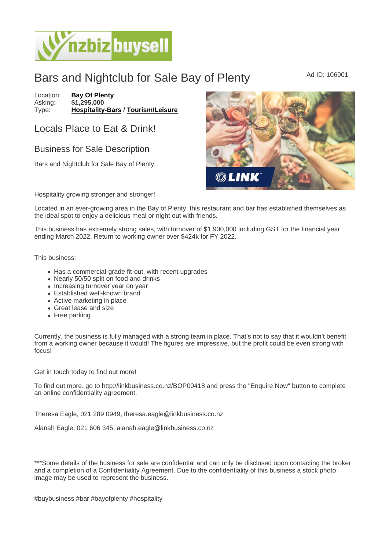## Bars and Nightclub for Sale Bay of Plenty Ad ID: 106901

Location: [Bay Of Plenty](https://www.nzbizbuysell.co.nz/businesses-for-sale/location/Bay-Of-Plenty) Asking: \$1,295,000<br>Type: Hospitality-[Hospitality-Bars](https://www.nzbizbuysell.co.nz/businesses-for-sale/Bars/New-Zealand) / [Tourism/Leisure](https://www.nzbizbuysell.co.nz/businesses-for-sale/Tourism--Leisure/New-Zealand)

## Locals Place to Eat & Drink!

## Business for Sale Description

Bars and Nightclub for Sale Bay of Plenty

Hospitality growing stronger and stronger!

Located in an ever-growing area in the Bay of Plenty, this restaurant and bar has established themselves as the ideal spot to enjoy a delicious meal or night out with friends.

This business has extremely strong sales, with turnover of \$1,900,000 including GST for the financial year ending March 2022. Return to working owner over \$424k for FY 2022.

This business:

- Has a commercial-grade fit-out, with recent upgrades
- Nearly 50/50 split on food and drinks
- Increasing turnover year on year
- Established well-known brand
- Active marketing in place
- Great lease and size
- Free parking

Currently, the business is fully managed with a strong team in place. That's not to say that it wouldn't benefit from a working owner because it would! The figures are impressive, but the profit could be even strong with focus!

Get in touch today to find out more!

To find out more. go to http://linkbusiness.co.nz/BOP00418 and press the "Enquire Now" button to complete an online confidentiality agreement.

Theresa Eagle, 021 289 0949, theresa.eagle@linkbusiness.co.nz

Alanah Eagle, 021 606 345, alanah.eagle@linkbusiness.co.nz

\*\*\*Some details of the business for sale are confidential and can only be disclosed upon contacting the broker and a completion of a Confidentiality Agreement. Due to the confidentiality of this business a stock photo image may be used to represent the business.

#buybusiness #bar #bayofplenty #hospitality